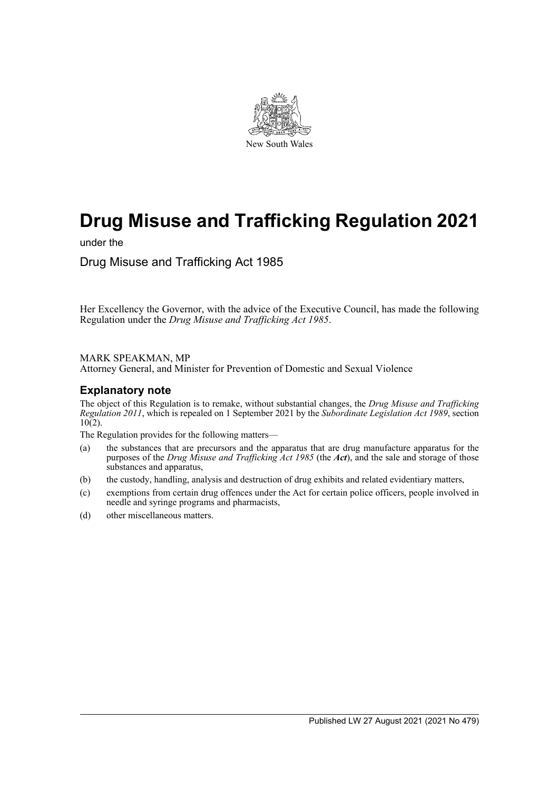

# **Drug Misuse and Trafficking Regulation 2021**

under the

Drug Misuse and Trafficking Act 1985

Her Excellency the Governor, with the advice of the Executive Council, has made the following Regulation under the *Drug Misuse and Trafficking Act 1985*.

#### MARK SPEAKMAN, MP

Attorney General, and Minister for Prevention of Domestic and Sexual Violence

### **Explanatory note**

The object of this Regulation is to remake, without substantial changes, the *Drug Misuse and Trafficking Regulation 2011*, which is repealed on 1 September 2021 by the *Subordinate Legislation Act 1989*, section  $10(2)$ .

The Regulation provides for the following matters—

- (a) the substances that are precursors and the apparatus that are drug manufacture apparatus for the purposes of the *Drug Misuse and Trafficking Act 1985* (the *Act*), and the sale and storage of those substances and apparatus,
- (b) the custody, handling, analysis and destruction of drug exhibits and related evidentiary matters,
- (c) exemptions from certain drug offences under the Act for certain police officers, people involved in needle and syringe programs and pharmacists,
- (d) other miscellaneous matters.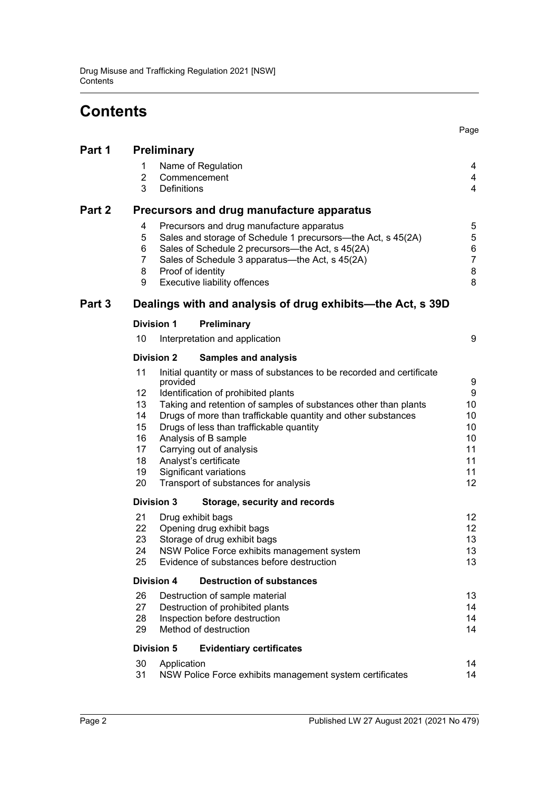# **Contents**

|        |                                                            |                                                                                                        |                                                                                          | Page                |  |  |  |
|--------|------------------------------------------------------------|--------------------------------------------------------------------------------------------------------|------------------------------------------------------------------------------------------|---------------------|--|--|--|
| Part 1 | <b>Preliminary</b>                                         |                                                                                                        |                                                                                          |                     |  |  |  |
|        | 1                                                          |                                                                                                        | Name of Regulation                                                                       | 4                   |  |  |  |
|        | $\overline{2}$                                             |                                                                                                        | Commencement                                                                             | 4                   |  |  |  |
|        | 3                                                          | <b>Definitions</b>                                                                                     |                                                                                          | $\overline{4}$      |  |  |  |
| Part 2 | Precursors and drug manufacture apparatus                  |                                                                                                        |                                                                                          |                     |  |  |  |
|        | 4                                                          | Precursors and drug manufacture apparatus                                                              |                                                                                          |                     |  |  |  |
|        | 5                                                          | Sales and storage of Schedule 1 precursors—the Act, s 45(2A)                                           |                                                                                          |                     |  |  |  |
|        | 6<br>7                                                     | Sales of Schedule 2 precursors--- the Act, s 45(2A)<br>Sales of Schedule 3 apparatus—the Act, s 45(2A) |                                                                                          |                     |  |  |  |
|        | 8                                                          |                                                                                                        | Proof of identity                                                                        | $\overline{7}$<br>8 |  |  |  |
|        | 9                                                          | Executive liability offences                                                                           |                                                                                          |                     |  |  |  |
| Part 3 | Dealings with and analysis of drug exhibits—the Act, s 39D |                                                                                                        |                                                                                          |                     |  |  |  |
|        | <b>Division 1</b>                                          |                                                                                                        | Preliminary                                                                              |                     |  |  |  |
|        | 10                                                         |                                                                                                        | Interpretation and application                                                           | 9                   |  |  |  |
|        | <b>Division 2</b>                                          |                                                                                                        | <b>Samples and analysis</b>                                                              |                     |  |  |  |
|        | 11                                                         | provided                                                                                               | Initial quantity or mass of substances to be recorded and certificate                    | 9                   |  |  |  |
|        | 12                                                         |                                                                                                        | Identification of prohibited plants                                                      | 9                   |  |  |  |
|        | 13                                                         |                                                                                                        | Taking and retention of samples of substances other than plants                          | $10$                |  |  |  |
|        | 14                                                         |                                                                                                        | Drugs of more than traffickable quantity and other substances                            | $10$                |  |  |  |
|        | 15                                                         |                                                                                                        | Drugs of less than traffickable quantity                                                 | 10                  |  |  |  |
|        | 16<br>17                                                   |                                                                                                        | Analysis of B sample<br>Carrying out of analysis                                         | 10<br>11            |  |  |  |
|        | 18                                                         |                                                                                                        | Analyst's certificate                                                                    | 11                  |  |  |  |
|        | 19                                                         |                                                                                                        | Significant variations                                                                   | 11                  |  |  |  |
|        | 20                                                         |                                                                                                        | Transport of substances for analysis                                                     | 12                  |  |  |  |
|        | <b>Division 3</b>                                          |                                                                                                        | Storage, security and records                                                            |                     |  |  |  |
|        | 21                                                         |                                                                                                        | Drug exhibit bags                                                                        | 12                  |  |  |  |
|        | 22                                                         |                                                                                                        | Opening drug exhibit bags                                                                | 12                  |  |  |  |
|        | 23<br>24                                                   |                                                                                                        | Storage of drug exhibit bags                                                             | 13                  |  |  |  |
|        | 25                                                         |                                                                                                        | NSW Police Force exhibits management system<br>Evidence of substances before destruction | 13<br>13            |  |  |  |
|        | <b>Division 4</b>                                          |                                                                                                        | <b>Destruction of substances</b>                                                         |                     |  |  |  |
|        | 26                                                         |                                                                                                        | Destruction of sample material                                                           | 13                  |  |  |  |
|        | 27                                                         |                                                                                                        | Destruction of prohibited plants                                                         | 14                  |  |  |  |
|        | 28                                                         |                                                                                                        | Inspection before destruction                                                            | 14                  |  |  |  |
|        | 29                                                         |                                                                                                        | Method of destruction                                                                    | 14                  |  |  |  |
|        | <b>Division 5</b>                                          |                                                                                                        | <b>Evidentiary certificates</b>                                                          |                     |  |  |  |
|        | 30<br>31                                                   | Application                                                                                            | NSW Police Force exhibits management system certificates                                 | 14<br>14            |  |  |  |
|        |                                                            |                                                                                                        |                                                                                          |                     |  |  |  |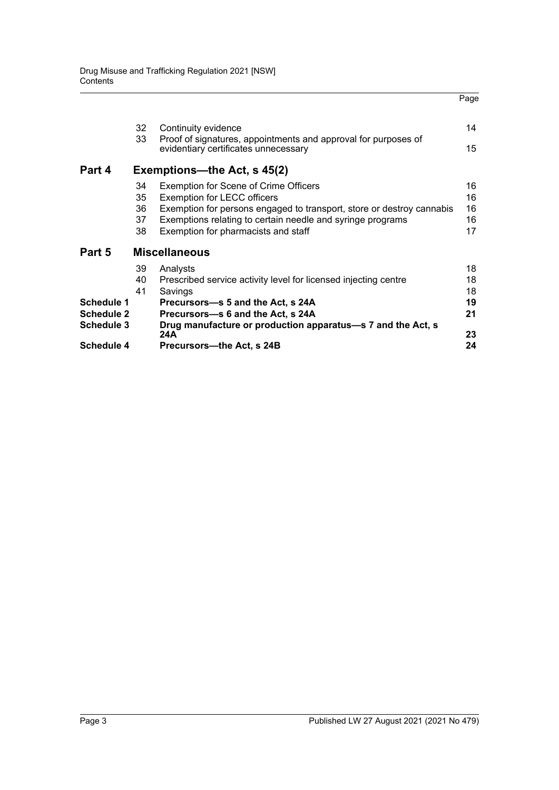|                   | 32<br>33                    | Continuity evidence<br>Proof of signatures, appointments and approval for purposes of | 14 |  |  |  |  |
|-------------------|-----------------------------|---------------------------------------------------------------------------------------|----|--|--|--|--|
|                   |                             | evidentiary certificates unnecessary                                                  | 15 |  |  |  |  |
| Part 4            | Exemptions—the Act, s 45(2) |                                                                                       |    |  |  |  |  |
|                   | 34                          | <b>Exemption for Scene of Crime Officers</b>                                          | 16 |  |  |  |  |
|                   | 35                          | <b>Exemption for LECC officers</b>                                                    | 16 |  |  |  |  |
|                   | 36                          | Exemption for persons engaged to transport, store or destroy cannabis                 | 16 |  |  |  |  |
|                   | 37                          | Exemptions relating to certain needle and syringe programs                            | 16 |  |  |  |  |
|                   | 38                          | Exemption for pharmacists and staff                                                   | 17 |  |  |  |  |
| Part 5            |                             | <b>Miscellaneous</b>                                                                  |    |  |  |  |  |
|                   | 39                          | Analysts                                                                              | 18 |  |  |  |  |
|                   | 40                          | Prescribed service activity level for licensed injecting centre                       | 18 |  |  |  |  |
|                   | 41                          | Savings                                                                               | 18 |  |  |  |  |
| Schedule 1        |                             | Precursors—s 5 and the Act, s 24A                                                     | 19 |  |  |  |  |
| <b>Schedule 2</b> |                             | Precursors-s 6 and the Act, s 24A                                                     | 21 |  |  |  |  |
| <b>Schedule 3</b> |                             | Drug manufacture or production apparatus—s 7 and the Act, s<br>24A                    | 23 |  |  |  |  |
| <b>Schedule 4</b> |                             | Precursors-the Act, s 24B                                                             | 24 |  |  |  |  |

Page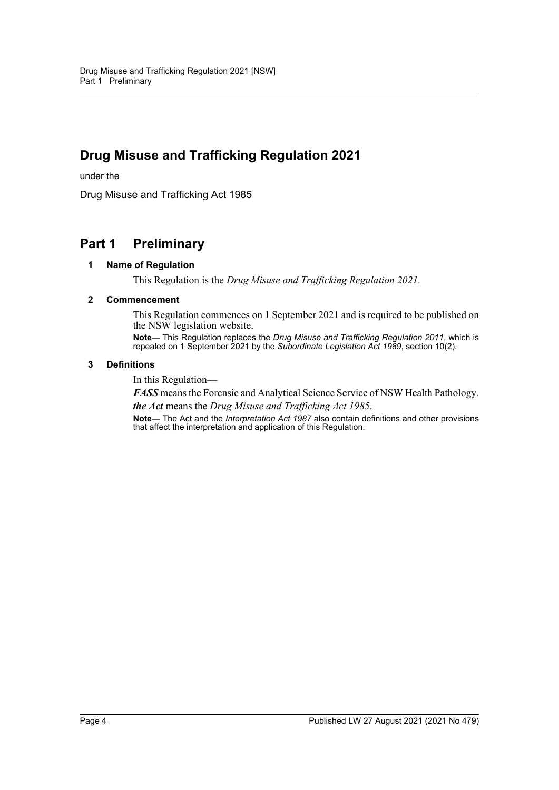# **Drug Misuse and Trafficking Regulation 2021**

under the

Drug Misuse and Trafficking Act 1985

## <span id="page-3-1"></span><span id="page-3-0"></span>**Part 1 Preliminary**

#### **1 Name of Regulation**

This Regulation is the *Drug Misuse and Trafficking Regulation 2021*.

#### <span id="page-3-2"></span>**2 Commencement**

This Regulation commences on 1 September 2021 and is required to be published on the NSW legislation website.

**Note—** This Regulation replaces the *Drug Misuse and Trafficking Regulation 2011*, which is repealed on 1 September 2021 by the *Subordinate Legislation Act 1989*, section 10(2).

#### <span id="page-3-3"></span>**3 Definitions**

In this Regulation—

*FASS* means the Forensic and Analytical Science Service of NSW Health Pathology. *the Act* means the *Drug Misuse and Trafficking Act 1985*.

**Note—** The Act and the *Interpretation Act 1987* also contain definitions and other provisions that affect the interpretation and application of this Regulation.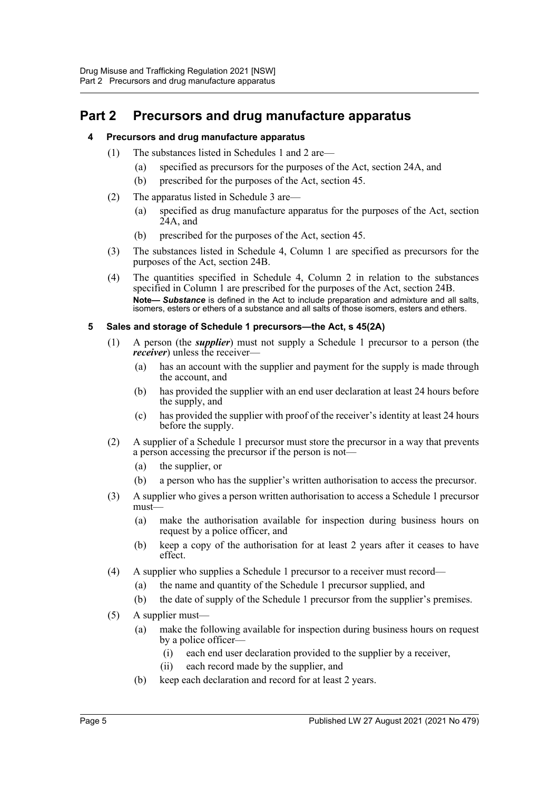## <span id="page-4-1"></span><span id="page-4-0"></span>**Part 2 Precursors and drug manufacture apparatus**

#### **4 Precursors and drug manufacture apparatus**

- (1) The substances listed in Schedules 1 and 2 are—
	- (a) specified as precursors for the purposes of the Act, section 24A, and
	- (b) prescribed for the purposes of the Act, section 45.
- (2) The apparatus listed in Schedule 3 are—
	- (a) specified as drug manufacture apparatus for the purposes of the Act, section  $24A$ , and
	- (b) prescribed for the purposes of the Act, section 45.
- (3) The substances listed in Schedule 4, Column 1 are specified as precursors for the purposes of the Act, section 24B.
- (4) The quantities specified in Schedule 4, Column 2 in relation to the substances specified in Column 1 are prescribed for the purposes of the Act, section 24B. **Note—** *Substance* is defined in the Act to include preparation and admixture and all salts, isomers, esters or ethers of a substance and all salts of those isomers, esters and ethers.

#### <span id="page-4-2"></span>**5 Sales and storage of Schedule 1 precursors—the Act, s 45(2A)**

- (1) A person (the *supplier*) must not supply a Schedule 1 precursor to a person (the *receiver*) unless the receiver—
	- (a) has an account with the supplier and payment for the supply is made through the account, and
	- (b) has provided the supplier with an end user declaration at least 24 hours before the supply, and
	- (c) has provided the supplier with proof of the receiver's identity at least 24 hours before the supply.
- (2) A supplier of a Schedule 1 precursor must store the precursor in a way that prevents a person accessing the precursor if the person is not—
	- (a) the supplier, or
	- (b) a person who has the supplier's written authorisation to access the precursor.
- (3) A supplier who gives a person written authorisation to access a Schedule 1 precursor must—
	- (a) make the authorisation available for inspection during business hours on request by a police officer, and
	- (b) keep a copy of the authorisation for at least 2 years after it ceases to have effect.
- (4) A supplier who supplies a Schedule 1 precursor to a receiver must record—
	- (a) the name and quantity of the Schedule 1 precursor supplied, and
	- (b) the date of supply of the Schedule 1 precursor from the supplier's premises.
- (5) A supplier must—
	- (a) make the following available for inspection during business hours on request by a police officer—
		- (i) each end user declaration provided to the supplier by a receiver,
		- (ii) each record made by the supplier, and
	- (b) keep each declaration and record for at least 2 years.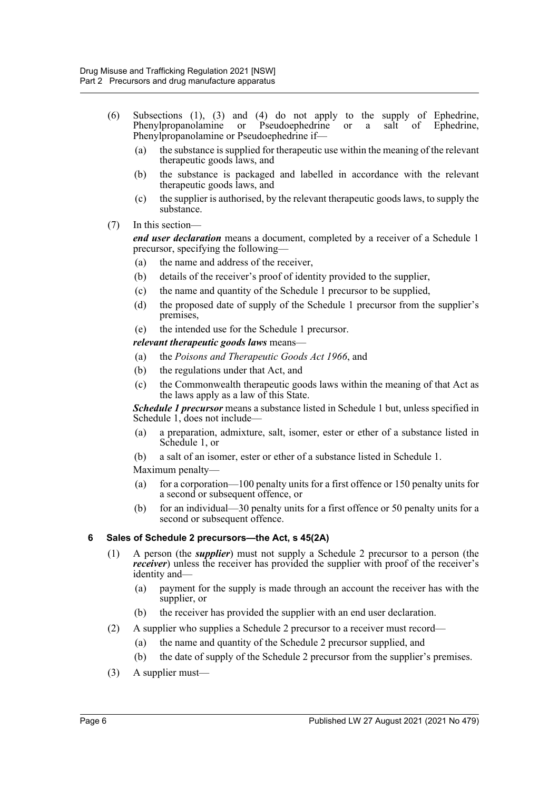- (6) Subsections (1), (3) and (4) do not apply to the supply of Ephedrine, Phenylpropanolamine or Pseudoephedrine or a salt of Ephedrine, Phenylpropanolamine or Pseudoephedrine if—
	- (a) the substance is supplied for therapeutic use within the meaning of the relevant therapeutic goods laws, and
	- (b) the substance is packaged and labelled in accordance with the relevant therapeutic goods laws, and
	- (c) the supplier is authorised, by the relevant therapeutic goods laws, to supply the substance.
- (7) In this section—

*end user declaration* means a document, completed by a receiver of a Schedule 1 precursor, specifying the following—

- (a) the name and address of the receiver,
- (b) details of the receiver's proof of identity provided to the supplier,
- (c) the name and quantity of the Schedule 1 precursor to be supplied,
- (d) the proposed date of supply of the Schedule 1 precursor from the supplier's premises,
- (e) the intended use for the Schedule 1 precursor.

*relevant therapeutic goods laws* means—

- (a) the *Poisons and Therapeutic Goods Act 1966*, and
- (b) the regulations under that Act, and
- (c) the Commonwealth therapeutic goods laws within the meaning of that Act as the laws apply as a law of this State.

*Schedule 1 precursor* means a substance listed in Schedule 1 but, unless specified in Schedule 1, does not include—

- (a) a preparation, admixture, salt, isomer, ester or ether of a substance listed in Schedule 1, or
- (b) a salt of an isomer, ester or ether of a substance listed in Schedule 1.

Maximum penalty—

- (a) for a corporation—100 penalty units for a first offence or 150 penalty units for a second or subsequent offence, or
- (b) for an individual—30 penalty units for a first offence or 50 penalty units for a second or subsequent offence.

#### <span id="page-5-0"></span>**6 Sales of Schedule 2 precursors—the Act, s 45(2A)**

- (1) A person (the *supplier*) must not supply a Schedule 2 precursor to a person (the *receiver*) unless the receiver has provided the supplier with proof of the receiver's identity and—
	- (a) payment for the supply is made through an account the receiver has with the supplier, or
	- (b) the receiver has provided the supplier with an end user declaration.
- (2) A supplier who supplies a Schedule 2 precursor to a receiver must record—
	- (a) the name and quantity of the Schedule 2 precursor supplied, and
	- (b) the date of supply of the Schedule 2 precursor from the supplier's premises.
- (3) A supplier must—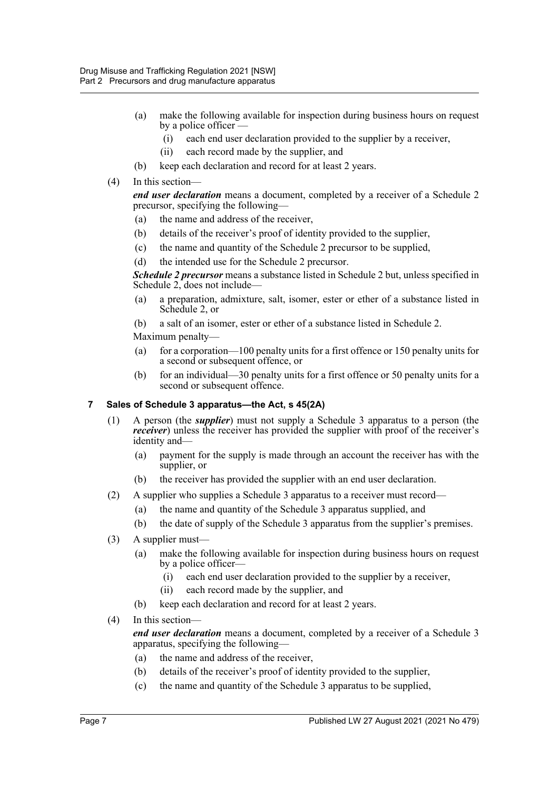- (a) make the following available for inspection during business hours on request by a police officer —
	- (i) each end user declaration provided to the supplier by a receiver,
	- (ii) each record made by the supplier, and
- (b) keep each declaration and record for at least 2 years.
- (4) In this section—

*end user declaration* means a document, completed by a receiver of a Schedule 2 precursor, specifying the following—

- (a) the name and address of the receiver,
- (b) details of the receiver's proof of identity provided to the supplier,
- (c) the name and quantity of the Schedule 2 precursor to be supplied,
- (d) the intended use for the Schedule 2 precursor.

*Schedule 2 precursor* means a substance listed in Schedule 2 but, unless specified in Schedule 2, does not include—

- (a) a preparation, admixture, salt, isomer, ester or ether of a substance listed in Schedule 2, or
- (b) a salt of an isomer, ester or ether of a substance listed in Schedule 2.

Maximum penalty—

- (a) for a corporation—100 penalty units for a first offence or 150 penalty units for a second or subsequent offence, or
- (b) for an individual—30 penalty units for a first offence or 50 penalty units for a second or subsequent offence.

#### <span id="page-6-0"></span>**7 Sales of Schedule 3 apparatus—the Act, s 45(2A)**

- (1) A person (the *supplier*) must not supply a Schedule 3 apparatus to a person (the *receiver*) unless the receiver has provided the supplier with proof of the receiver's identity and—
	- (a) payment for the supply is made through an account the receiver has with the supplier, or
	- (b) the receiver has provided the supplier with an end user declaration.
- (2) A supplier who supplies a Schedule 3 apparatus to a receiver must record—
	- (a) the name and quantity of the Schedule 3 apparatus supplied, and
	- (b) the date of supply of the Schedule 3 apparatus from the supplier's premises.
- (3) A supplier must—
	- (a) make the following available for inspection during business hours on request by a police officer—
		- (i) each end user declaration provided to the supplier by a receiver,
		- (ii) each record made by the supplier, and
	- (b) keep each declaration and record for at least 2 years.
- (4) In this section—

*end user declaration* means a document, completed by a receiver of a Schedule 3 apparatus, specifying the following—

- (a) the name and address of the receiver,
- (b) details of the receiver's proof of identity provided to the supplier,
- (c) the name and quantity of the Schedule 3 apparatus to be supplied,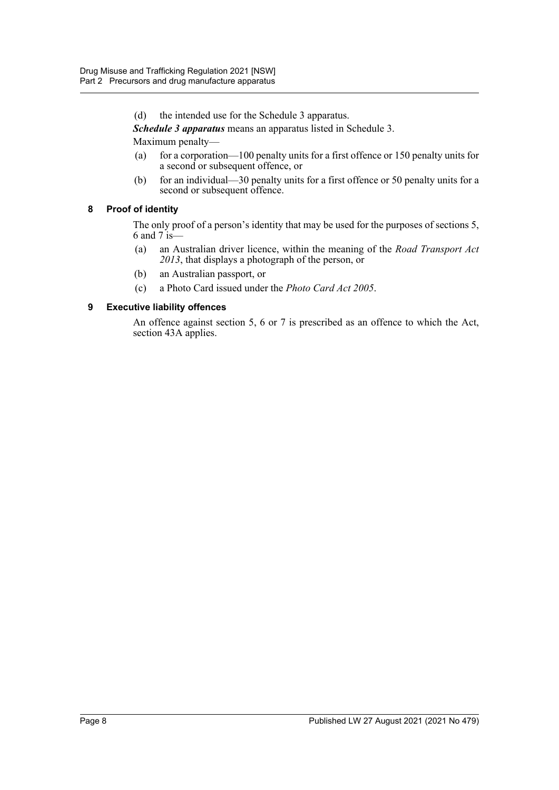(d) the intended use for the Schedule 3 apparatus.

*Schedule 3 apparatus* means an apparatus listed in Schedule 3.

Maximum penalty—

- (a) for a corporation—100 penalty units for a first offence or 150 penalty units for a second or subsequent offence, or
- (b) for an individual—30 penalty units for a first offence or 50 penalty units for a second or subsequent offence.

#### <span id="page-7-0"></span>**8 Proof of identity**

The only proof of a person's identity that may be used for the purposes of sections 5, 6 and  $7 \text{ is} -$ 

- (a) an Australian driver licence, within the meaning of the *Road Transport Act 2013*, that displays a photograph of the person, or
- (b) an Australian passport, or
- (c) a Photo Card issued under the *Photo Card Act 2005*.

#### <span id="page-7-1"></span>**9 Executive liability offences**

An offence against section 5, 6 or 7 is prescribed as an offence to which the Act, section 43A applies.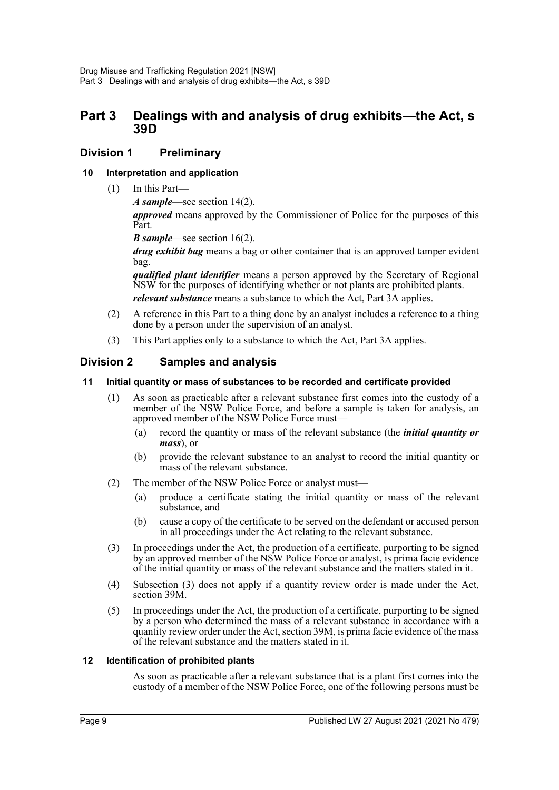### <span id="page-8-0"></span>**Part 3 Dealings with and analysis of drug exhibits—the Act, s 39D**

### <span id="page-8-1"></span>**Division 1 Preliminary**

#### <span id="page-8-2"></span>**10 Interpretation and application**

(1) In this Part—

*A sample*—see section 14(2).

*approved* means approved by the Commissioner of Police for the purposes of this Part.

*B sample*—see section 16(2).

*drug exhibit bag* means a bag or other container that is an approved tamper evident bag.

*qualified plant identifier* means a person approved by the Secretary of Regional NSW for the purposes of identifying whether or not plants are prohibited plants.

*relevant substance* means a substance to which the Act, Part 3A applies.

- (2) A reference in this Part to a thing done by an analyst includes a reference to a thing done by a person under the supervision of an analyst.
- (3) This Part applies only to a substance to which the Act, Part 3A applies.

### <span id="page-8-3"></span>**Division 2 Samples and analysis**

#### <span id="page-8-4"></span>**11 Initial quantity or mass of substances to be recorded and certificate provided**

- (1) As soon as practicable after a relevant substance first comes into the custody of a member of the NSW Police Force, and before a sample is taken for analysis, an approved member of the NSW Police Force must—
	- (a) record the quantity or mass of the relevant substance (the *initial quantity or mass*), or
	- (b) provide the relevant substance to an analyst to record the initial quantity or mass of the relevant substance.
- (2) The member of the NSW Police Force or analyst must—
	- (a) produce a certificate stating the initial quantity or mass of the relevant substance, and
	- (b) cause a copy of the certificate to be served on the defendant or accused person in all proceedings under the Act relating to the relevant substance.
- (3) In proceedings under the Act, the production of a certificate, purporting to be signed by an approved member of the NSW Police Force or analyst, is prima facie evidence of the initial quantity or mass of the relevant substance and the matters stated in it.
- (4) Subsection (3) does not apply if a quantity review order is made under the Act, section 39M.
- (5) In proceedings under the Act, the production of a certificate, purporting to be signed by a person who determined the mass of a relevant substance in accordance with a quantity review order under the Act, section 39M, is prima facie evidence of the mass of the relevant substance and the matters stated in it.

#### <span id="page-8-5"></span>**12 Identification of prohibited plants**

As soon as practicable after a relevant substance that is a plant first comes into the custody of a member of the NSW Police Force, one of the following persons must be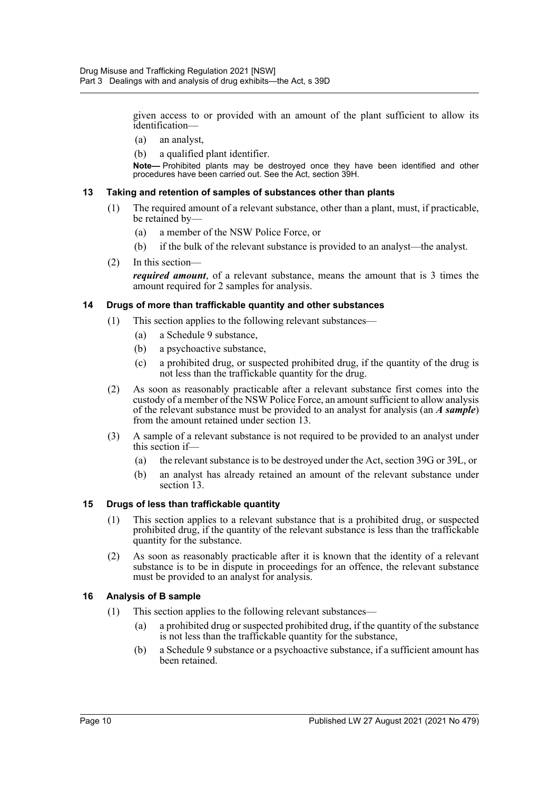given access to or provided with an amount of the plant sufficient to allow its identification—

- (a) an analyst,
- (b) a qualified plant identifier.

**Note—** Prohibited plants may be destroyed once they have been identified and other procedures have been carried out. See the Act, section 39H.

#### <span id="page-9-0"></span>**13 Taking and retention of samples of substances other than plants**

- (1) The required amount of a relevant substance, other than a plant, must, if practicable, be retained by—
	- (a) a member of the NSW Police Force, or
	- (b) if the bulk of the relevant substance is provided to an analyst—the analyst.
- (2) In this section—

*required amount*, of a relevant substance, means the amount that is 3 times the amount required for 2 samples for analysis.

#### <span id="page-9-1"></span>**14 Drugs of more than traffickable quantity and other substances**

- (1) This section applies to the following relevant substances—
	- (a) a Schedule 9 substance,
	- (b) a psychoactive substance,
	- (c) a prohibited drug, or suspected prohibited drug, if the quantity of the drug is not less than the traffickable quantity for the drug.
- (2) As soon as reasonably practicable after a relevant substance first comes into the custody of a member of the NSW Police Force, an amount sufficient to allow analysis of the relevant substance must be provided to an analyst for analysis (an *A sample*) from the amount retained under section 13.
- (3) A sample of a relevant substance is not required to be provided to an analyst under this section if—
	- (a) the relevant substance is to be destroyed under the Act, section 39G or 39L, or
	- (b) an analyst has already retained an amount of the relevant substance under section 13.

#### <span id="page-9-2"></span>**15 Drugs of less than traffickable quantity**

- (1) This section applies to a relevant substance that is a prohibited drug, or suspected prohibited drug, if the quantity of the relevant substance is less than the traffickable quantity for the substance.
- (2) As soon as reasonably practicable after it is known that the identity of a relevant substance is to be in dispute in proceedings for an offence, the relevant substance must be provided to an analyst for analysis.

#### <span id="page-9-3"></span>**16 Analysis of B sample**

- (1) This section applies to the following relevant substances—
	- (a) a prohibited drug or suspected prohibited drug, if the quantity of the substance is not less than the traffickable quantity for the substance,
	- (b) a Schedule 9 substance or a psychoactive substance, if a sufficient amount has been retained.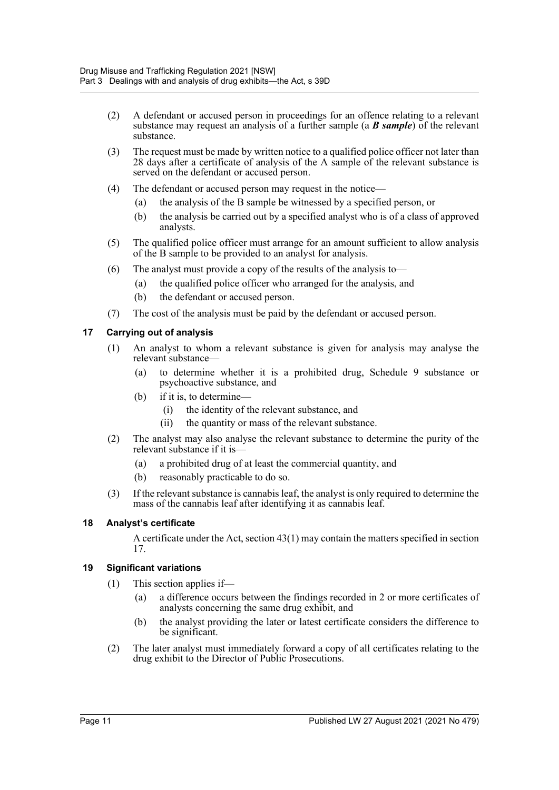- (2) A defendant or accused person in proceedings for an offence relating to a relevant substance may request an analysis of a further sample (a *B sample*) of the relevant substance.
- (3) The request must be made by written notice to a qualified police officer not later than 28 days after a certificate of analysis of the A sample of the relevant substance is served on the defendant or accused person.
- (4) The defendant or accused person may request in the notice—
	- (a) the analysis of the B sample be witnessed by a specified person, or
	- (b) the analysis be carried out by a specified analyst who is of a class of approved analysts.
- (5) The qualified police officer must arrange for an amount sufficient to allow analysis of the B sample to be provided to an analyst for analysis.
- (6) The analyst must provide a copy of the results of the analysis to—
	- (a) the qualified police officer who arranged for the analysis, and
	- (b) the defendant or accused person.
- (7) The cost of the analysis must be paid by the defendant or accused person.

#### <span id="page-10-0"></span>**17 Carrying out of analysis**

- (1) An analyst to whom a relevant substance is given for analysis may analyse the relevant substance—
	- (a) to determine whether it is a prohibited drug, Schedule 9 substance or psychoactive substance, and
	- (b) if it is, to determine—
		- (i) the identity of the relevant substance, and
		- (ii) the quantity or mass of the relevant substance.
- (2) The analyst may also analyse the relevant substance to determine the purity of the relevant substance if it is—
	- (a) a prohibited drug of at least the commercial quantity, and
	- (b) reasonably practicable to do so.
- (3) If the relevant substance is cannabis leaf, the analyst is only required to determine the mass of the cannabis leaf after identifying it as cannabis leaf.

#### <span id="page-10-1"></span>**18 Analyst's certificate**

A certificate under the Act, section 43(1) may contain the matters specified in section 17.

#### <span id="page-10-2"></span>**19 Significant variations**

- (1) This section applies if—
	- (a) a difference occurs between the findings recorded in 2 or more certificates of analysts concerning the same drug exhibit, and
	- (b) the analyst providing the later or latest certificate considers the difference to be significant.
- (2) The later analyst must immediately forward a copy of all certificates relating to the drug exhibit to the Director of Public Prosecutions.

Page 11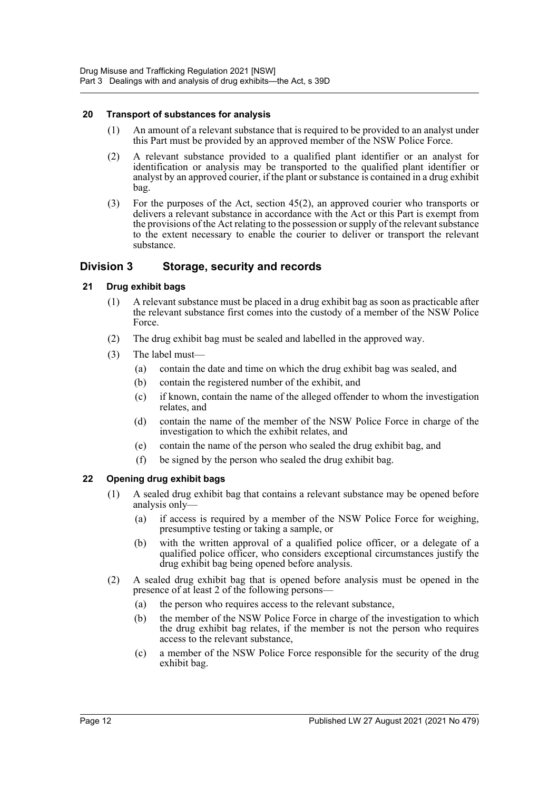#### <span id="page-11-0"></span>**20 Transport of substances for analysis**

- (1) An amount of a relevant substance that is required to be provided to an analyst under this Part must be provided by an approved member of the NSW Police Force.
- (2) A relevant substance provided to a qualified plant identifier or an analyst for identification or analysis may be transported to the qualified plant identifier or analyst by an approved courier, if the plant or substance is contained in a drug exhibit bag.
- (3) For the purposes of the Act, section 45(2), an approved courier who transports or delivers a relevant substance in accordance with the Act or this Part is exempt from the provisions of the Act relating to the possession or supply of the relevant substance to the extent necessary to enable the courier to deliver or transport the relevant substance.

### <span id="page-11-1"></span>**Division 3 Storage, security and records**

#### <span id="page-11-2"></span>**21 Drug exhibit bags**

- (1) A relevant substance must be placed in a drug exhibit bag as soon as practicable after the relevant substance first comes into the custody of a member of the NSW Police Force.
- (2) The drug exhibit bag must be sealed and labelled in the approved way.
- (3) The label must—
	- (a) contain the date and time on which the drug exhibit bag was sealed, and
	- (b) contain the registered number of the exhibit, and
	- (c) if known, contain the name of the alleged offender to whom the investigation relates, and
	- (d) contain the name of the member of the NSW Police Force in charge of the investigation to which the exhibit relates, and
	- (e) contain the name of the person who sealed the drug exhibit bag, and
	- (f) be signed by the person who sealed the drug exhibit bag.

#### <span id="page-11-3"></span>**22 Opening drug exhibit bags**

- (1) A sealed drug exhibit bag that contains a relevant substance may be opened before analysis only—
	- (a) if access is required by a member of the NSW Police Force for weighing, presumptive testing or taking a sample, or
	- (b) with the written approval of a qualified police officer, or a delegate of a qualified police officer, who considers exceptional circumstances justify the drug exhibit bag being opened before analysis.
- (2) A sealed drug exhibit bag that is opened before analysis must be opened in the presence of at least 2 of the following persons—
	- (a) the person who requires access to the relevant substance,
	- (b) the member of the NSW Police Force in charge of the investigation to which the drug exhibit bag relates, if the member is not the person who requires access to the relevant substance,
	- (c) a member of the NSW Police Force responsible for the security of the drug exhibit bag.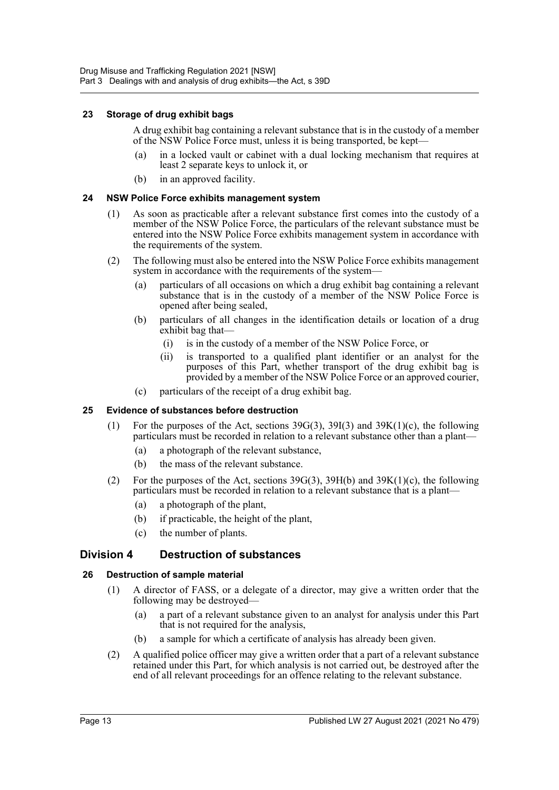#### <span id="page-12-0"></span>**23 Storage of drug exhibit bags**

A drug exhibit bag containing a relevant substance that is in the custody of a member of the NSW Police Force must, unless it is being transported, be kept—

- in a locked vault or cabinet with a dual locking mechanism that requires at least 2 separate keys to unlock it, or
- (b) in an approved facility.

#### <span id="page-12-1"></span>**24 NSW Police Force exhibits management system**

- (1) As soon as practicable after a relevant substance first comes into the custody of a member of the NSW Police Force, the particulars of the relevant substance must be entered into the NSW Police Force exhibits management system in accordance with the requirements of the system.
- (2) The following must also be entered into the NSW Police Force exhibits management system in accordance with the requirements of the system—
	- (a) particulars of all occasions on which a drug exhibit bag containing a relevant substance that is in the custody of a member of the NSW Police Force is opened after being sealed,
	- (b) particulars of all changes in the identification details or location of a drug exhibit bag that—
		- (i) is in the custody of a member of the NSW Police Force, or
		- (ii) is transported to a qualified plant identifier or an analyst for the purposes of this Part, whether transport of the drug exhibit bag is provided by a member of the NSW Police Force or an approved courier,
	- (c) particulars of the receipt of a drug exhibit bag.

#### <span id="page-12-2"></span>**25 Evidence of substances before destruction**

- (1) For the purposes of the Act, sections 39G(3), 39I(3) and 39K(1)(c), the following particulars must be recorded in relation to a relevant substance other than a plant—
	- (a) a photograph of the relevant substance,
	- (b) the mass of the relevant substance.
- (2) For the purposes of the Act, sections  $39G(3)$ ,  $39H(b)$  and  $39K(1)(c)$ , the following particulars must be recorded in relation to a relevant substance that is a plant—
	- (a) a photograph of the plant,
	- (b) if practicable, the height of the plant,
	- (c) the number of plants.

### <span id="page-12-3"></span>**Division 4 Destruction of substances**

#### <span id="page-12-4"></span>**26 Destruction of sample material**

- (1) A director of FASS, or a delegate of a director, may give a written order that the following may be destroyed—
	- (a) a part of a relevant substance given to an analyst for analysis under this Part that is not required for the analysis,
	- (b) a sample for which a certificate of analysis has already been given.
- (2) A qualified police officer may give a written order that a part of a relevant substance retained under this Part, for which analysis is not carried out, be destroyed after the end of all relevant proceedings for an offence relating to the relevant substance.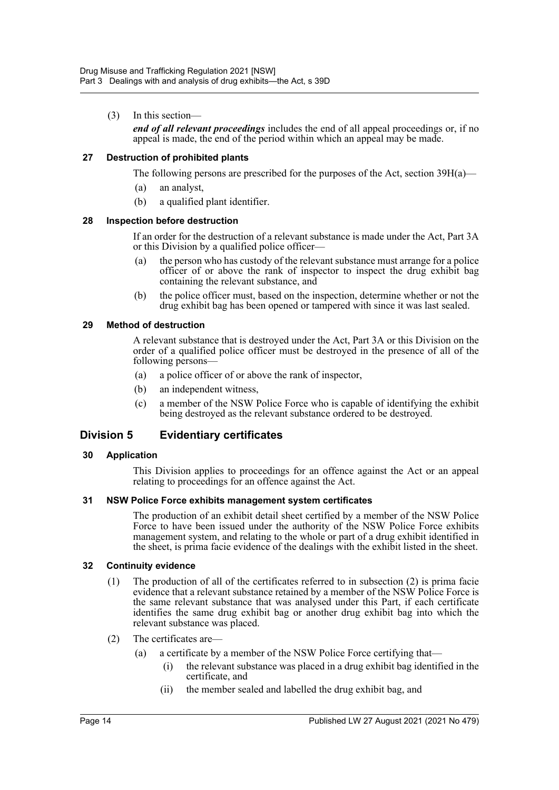(3) In this section—

*end of all relevant proceedings* includes the end of all appeal proceedings or, if no appeal is made, the end of the period within which an appeal may be made.

#### <span id="page-13-0"></span>**27 Destruction of prohibited plants**

The following persons are prescribed for the purposes of the Act, section  $39H(a)$ —

- (a) an analyst,
- (b) a qualified plant identifier.

#### <span id="page-13-1"></span>**28 Inspection before destruction**

If an order for the destruction of a relevant substance is made under the Act, Part 3A or this Division by a qualified police officer—

- (a) the person who has custody of the relevant substance must arrange for a police officer of or above the rank of inspector to inspect the drug exhibit bag containing the relevant substance, and
- (b) the police officer must, based on the inspection, determine whether or not the drug exhibit bag has been opened or tampered with since it was last sealed.

#### <span id="page-13-2"></span>**29 Method of destruction**

A relevant substance that is destroyed under the Act, Part 3A or this Division on the order of a qualified police officer must be destroyed in the presence of all of the following persons—

- (a) a police officer of or above the rank of inspector,
- (b) an independent witness,
- (c) a member of the NSW Police Force who is capable of identifying the exhibit being destroyed as the relevant substance ordered to be destroyed.

### <span id="page-13-3"></span>**Division 5 Evidentiary certificates**

#### <span id="page-13-4"></span>**30 Application**

This Division applies to proceedings for an offence against the Act or an appeal relating to proceedings for an offence against the Act.

#### <span id="page-13-5"></span>**31 NSW Police Force exhibits management system certificates**

The production of an exhibit detail sheet certified by a member of the NSW Police Force to have been issued under the authority of the NSW Police Force exhibits management system, and relating to the whole or part of a drug exhibit identified in the sheet, is prima facie evidence of the dealings with the exhibit listed in the sheet.

#### <span id="page-13-6"></span>**32 Continuity evidence**

- (1) The production of all of the certificates referred to in subsection (2) is prima facie evidence that a relevant substance retained by a member of the NSW Police Force is the same relevant substance that was analysed under this Part, if each certificate identifies the same drug exhibit bag or another drug exhibit bag into which the relevant substance was placed.
- (2) The certificates are—
	- (a) a certificate by a member of the NSW Police Force certifying that—
		- (i) the relevant substance was placed in a drug exhibit bag identified in the certificate, and
		- (ii) the member sealed and labelled the drug exhibit bag, and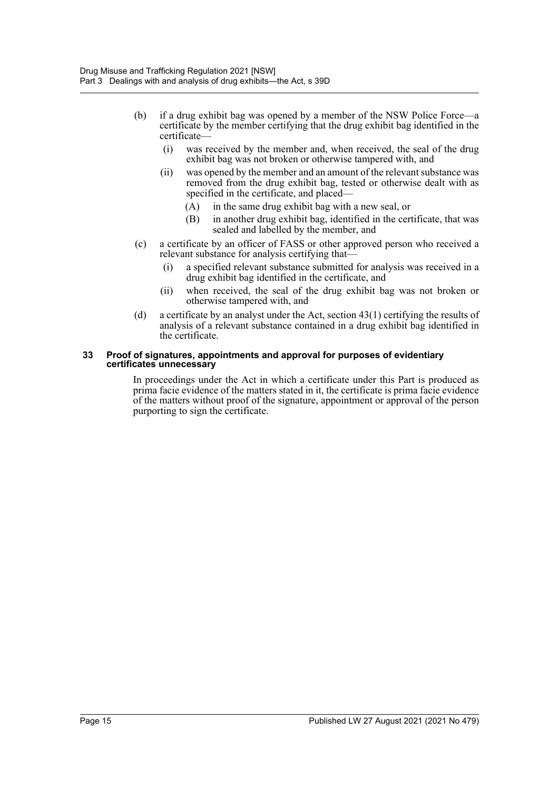- (b) if a drug exhibit bag was opened by a member of the NSW Police Force—a certificate by the member certifying that the drug exhibit bag identified in the certificate—
	- (i) was received by the member and, when received, the seal of the drug exhibit bag was not broken or otherwise tampered with, and
	- (ii) was opened by the member and an amount of the relevant substance was removed from the drug exhibit bag, tested or otherwise dealt with as specified in the certificate, and placed—
		- (A) in the same drug exhibit bag with a new seal, or
		- (B) in another drug exhibit bag, identified in the certificate, that was sealed and labelled by the member, and
- (c) a certificate by an officer of FASS or other approved person who received a relevant substance for analysis certifying that—
	- (i) a specified relevant substance submitted for analysis was received in a drug exhibit bag identified in the certificate, and
	- (ii) when received, the seal of the drug exhibit bag was not broken or otherwise tampered with, and
- (d) a certificate by an analyst under the Act, section 43(1) certifying the results of analysis of a relevant substance contained in a drug exhibit bag identified in the certificate.

#### <span id="page-14-0"></span>**33 Proof of signatures, appointments and approval for purposes of evidentiary certificates unnecessary**

In proceedings under the Act in which a certificate under this Part is produced as prima facie evidence of the matters stated in it, the certificate is prima facie evidence of the matters without proof of the signature, appointment or approval of the person purporting to sign the certificate.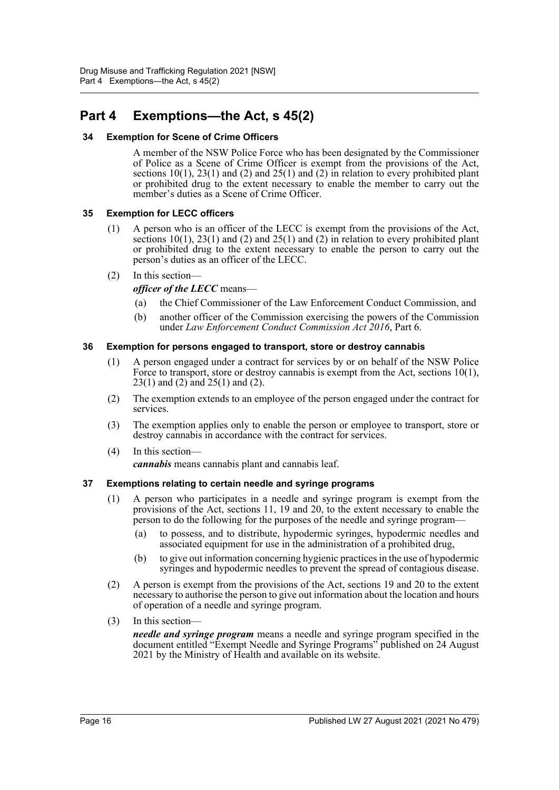# <span id="page-15-0"></span>**Part 4 Exemptions—the Act, s 45(2)**

#### <span id="page-15-1"></span>**34 Exemption for Scene of Crime Officers**

A member of the NSW Police Force who has been designated by the Commissioner of Police as a Scene of Crime Officer is exempt from the provisions of the Act, sections 10(1), 23(1) and (2) and 25(1) and (2) in relation to every prohibited plant or prohibited drug to the extent necessary to enable the member to carry out the member's duties as a Scene of Crime Officer.

#### <span id="page-15-2"></span>**35 Exemption for LECC officers**

(1) A person who is an officer of the LECC is exempt from the provisions of the Act, sections 10(1), 23(1) and (2) and 25(1) and (2) in relation to every prohibited plant or prohibited drug to the extent necessary to enable the person to carry out the person's duties as an officer of the LECC.

#### (2) In this section—

*officer of the LECC* means—

- (a) the Chief Commissioner of the Law Enforcement Conduct Commission, and
- (b) another officer of the Commission exercising the powers of the Commission under *Law Enforcement Conduct Commission Act 2016*, Part 6.

#### <span id="page-15-3"></span>**36 Exemption for persons engaged to transport, store or destroy cannabis**

- (1) A person engaged under a contract for services by or on behalf of the NSW Police Force to transport, store or destroy cannabis is exempt from the Act, sections 10(1), 23(1) and (2) and 25(1) and (2).
- (2) The exemption extends to an employee of the person engaged under the contract for services.
- (3) The exemption applies only to enable the person or employee to transport, store or destroy cannabis in accordance with the contract for services.
- (4) In this section—

*cannabis* means cannabis plant and cannabis leaf.

#### <span id="page-15-4"></span>**37 Exemptions relating to certain needle and syringe programs**

- (1) A person who participates in a needle and syringe program is exempt from the provisions of the Act, sections 11, 19 and 20, to the extent necessary to enable the person to do the following for the purposes of the needle and syringe program—
	- (a) to possess, and to distribute, hypodermic syringes, hypodermic needles and associated equipment for use in the administration of a prohibited drug,
	- (b) to give out information concerning hygienic practices in the use of hypodermic syringes and hypodermic needles to prevent the spread of contagious disease.
- (2) A person is exempt from the provisions of the Act, sections 19 and 20 to the extent necessary to authorise the person to give out information about the location and hours of operation of a needle and syringe program.
- (3) In this section—

*needle and syringe program* means a needle and syringe program specified in the document entitled "Exempt Needle and Syringe Programs" published on 24 August 2021 by the Ministry of Health and available on its website.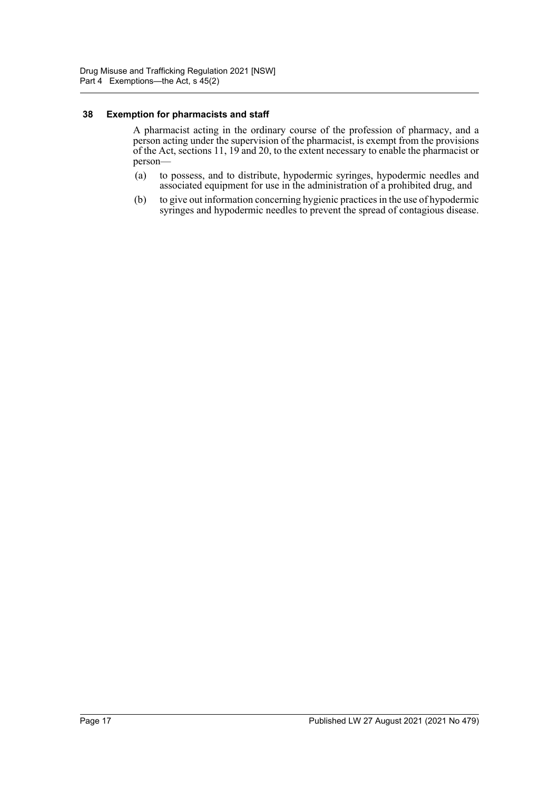#### <span id="page-16-0"></span>**38 Exemption for pharmacists and staff**

A pharmacist acting in the ordinary course of the profession of pharmacy, and a person acting under the supervision of the pharmacist, is exempt from the provisions of the Act, sections 11, 19 and 20, to the extent necessary to enable the pharmacist or person—

- (a) to possess, and to distribute, hypodermic syringes, hypodermic needles and associated equipment for use in the administration of a prohibited drug, and
- (b) to give out information concerning hygienic practices in the use of hypodermic syringes and hypodermic needles to prevent the spread of contagious disease.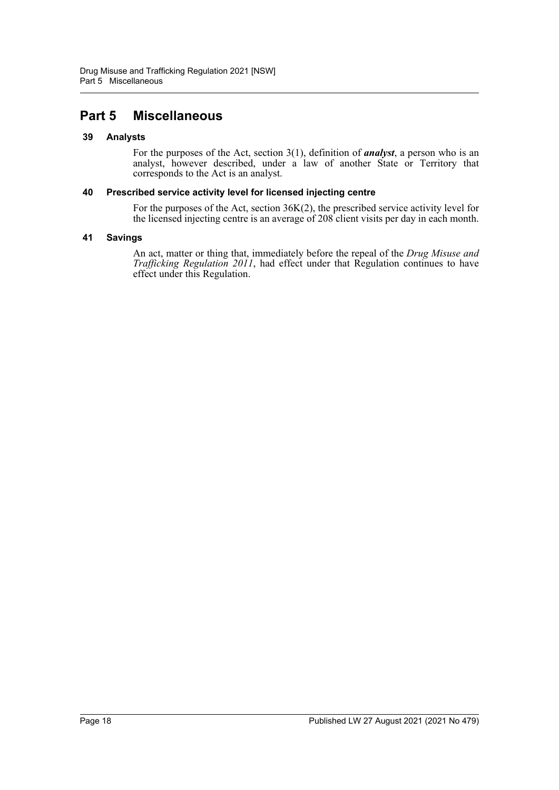# <span id="page-17-0"></span>**Part 5 Miscellaneous**

#### <span id="page-17-1"></span>**39 Analysts**

For the purposes of the Act, section 3(1), definition of *analyst*, a person who is an analyst, however described, under a law of another State or Territory that corresponds to the Act is an analyst.

#### <span id="page-17-2"></span>**40 Prescribed service activity level for licensed injecting centre**

For the purposes of the Act, section 36K(2), the prescribed service activity level for the licensed injecting centre is an average of 208 client visits per day in each month.

#### <span id="page-17-3"></span>**41 Savings**

An act, matter or thing that, immediately before the repeal of the *Drug Misuse and Trafficking Regulation 2011*, had effect under that Regulation continues to have effect under this Regulation.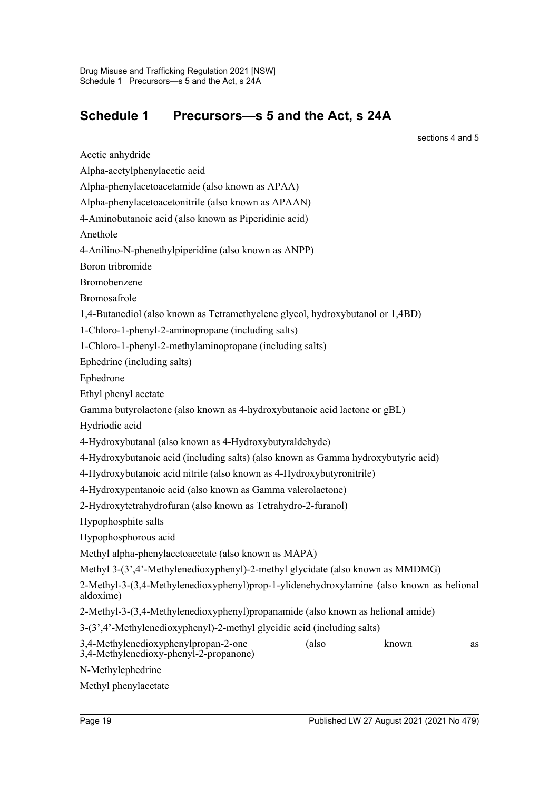# <span id="page-18-0"></span>**Schedule 1 Precursors—s 5 and the Act, s 24A**

sections 4 and 5

Acetic anhydride Alpha-acetylphenylacetic acid Alpha-phenylacetoacetamide (also known as APAA) Alpha-phenylacetoacetonitrile (also known as APAAN) 4-Aminobutanoic acid (also known as Piperidinic acid) Anethole 4-Anilino-N-phenethylpiperidine (also known as ANPP) Boron tribromide Bromobenzene Bromosafrole 1,4-Butanediol (also known as Tetramethyelene glycol, hydroxybutanol or 1,4BD) 1-Chloro-1-phenyl-2-aminopropane (including salts) 1-Chloro-1-phenyl-2-methylaminopropane (including salts) Ephedrine (including salts) Ephedrone Ethyl phenyl acetate Gamma butyrolactone (also known as 4-hydroxybutanoic acid lactone or gBL) Hydriodic acid 4-Hydroxybutanal (also known as 4-Hydroxybutyraldehyde) 4-Hydroxybutanoic acid (including salts) (also known as Gamma hydroxybutyric acid) 4-Hydroxybutanoic acid nitrile (also known as 4-Hydroxybutyronitrile) 4-Hydroxypentanoic acid (also known as Gamma valerolactone) 2-Hydroxytetrahydrofuran (also known as Tetrahydro-2-furanol) Hypophosphite salts Hypophosphorous acid Methyl alpha-phenylacetoacetate (also known as MAPA) Methyl 3-(3',4'-Methylenedioxyphenyl)-2-methyl glycidate (also known as MMDMG) 2-Methyl-3-(3,4-Methylenedioxyphenyl)prop-1-ylidenehydroxylamine (also known as helional aldoxime) 2-Methyl-3-(3,4-Methylenedioxyphenyl)propanamide (also known as helional amide) 3-(3',4'-Methylenedioxyphenyl)-2-methyl glycidic acid (including salts) 3,4-Methylenedioxyphenylpropan-2-one (also known as 3,4-Methylenedioxy-phenyl-2-propanone) N-Methylephedrine Methyl phenylacetate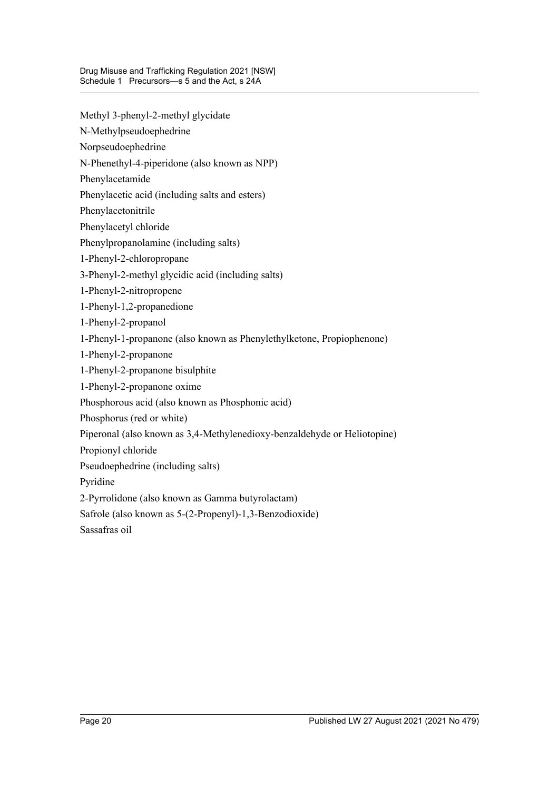- Methyl 3-phenyl-2-methyl glycidate
- N-Methylpseudoephedrine
- Norpseudoephedrine
- N-Phenethyl-4-piperidone (also known as NPP)
- Phenylacetamide
- Phenylacetic acid (including salts and esters)
- Phenylacetonitrile
- Phenylacetyl chloride
- Phenylpropanolamine (including salts)
- 1-Phenyl-2-chloropropane
- 3-Phenyl-2-methyl glycidic acid (including salts)
- 1-Phenyl-2-nitropropene
- 1-Phenyl-1,2-propanedione
- 1-Phenyl-2-propanol
- 1-Phenyl-1-propanone (also known as Phenylethylketone, Propiophenone)
- 1-Phenyl-2-propanone
- 1-Phenyl-2-propanone bisulphite
- 1-Phenyl-2-propanone oxime
- Phosphorous acid (also known as Phosphonic acid)
- Phosphorus (red or white)
- Piperonal (also known as 3,4-Methylenedioxy-benzaldehyde or Heliotopine)
- Propionyl chloride
- Pseudoephedrine (including salts)
- Pyridine
- 2-Pyrrolidone (also known as Gamma butyrolactam)
- Safrole (also known as 5-(2-Propenyl)-1,3-Benzodioxide)
- Sassafras oil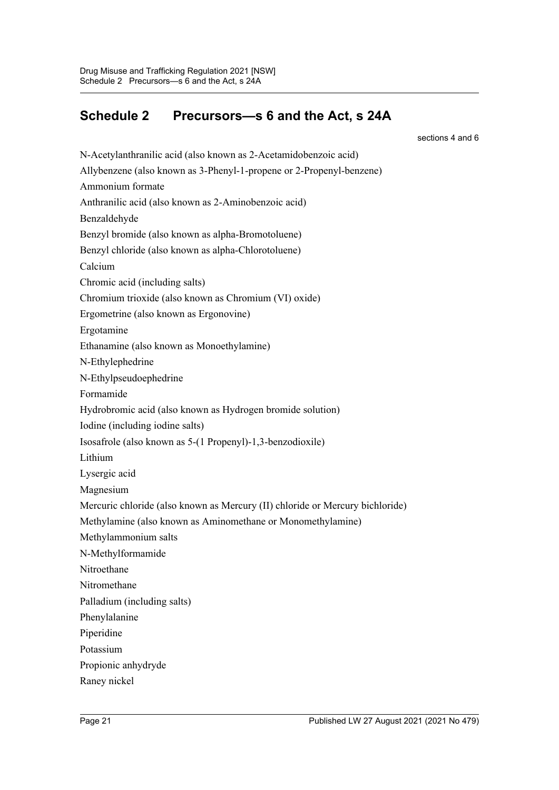# <span id="page-20-0"></span>**Schedule 2 Precursors—s 6 and the Act, s 24A**

sections 4 and 6

N-Acetylanthranilic acid (also known as 2-Acetamidobenzoic acid) Allybenzene (also known as 3-Phenyl-1-propene or 2-Propenyl-benzene) Ammonium formate Anthranilic acid (also known as 2-Aminobenzoic acid) Benzaldehyde Benzyl bromide (also known as alpha-Bromotoluene) Benzyl chloride (also known as alpha-Chlorotoluene) Calcium Chromic acid (including salts) Chromium trioxide (also known as Chromium (VI) oxide) Ergometrine (also known as Ergonovine) Ergotamine Ethanamine (also known as Monoethylamine) N-Ethylephedrine N-Ethylpseudoephedrine Formamide Hydrobromic acid (also known as Hydrogen bromide solution) Iodine (including iodine salts) Isosafrole (also known as 5-(1 Propenyl)-1,3-benzodioxile) Lithium Lysergic acid Magnesium Mercuric chloride (also known as Mercury (II) chloride or Mercury bichloride) Methylamine (also known as Aminomethane or Monomethylamine) Methylammonium salts N-Methylformamide Nitroethane Nitromethane Palladium (including salts) Phenylalanine Piperidine Potassium Propionic anhydryde Raney nickel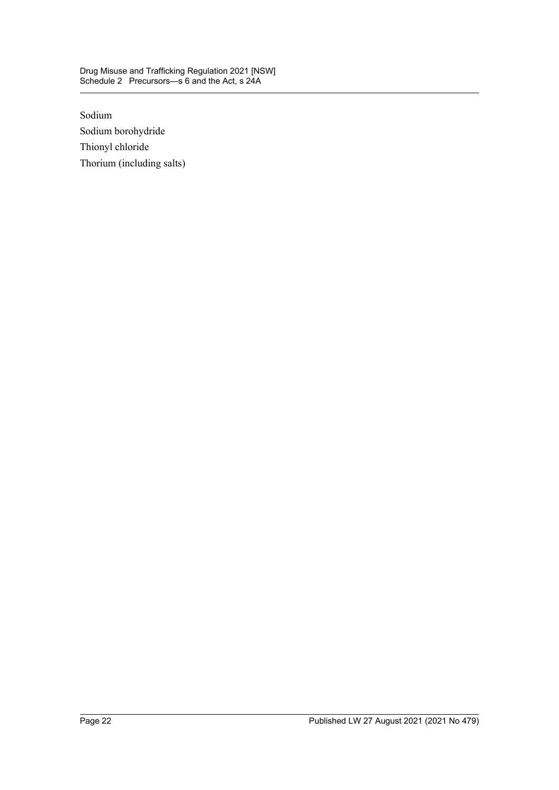#### Drug Misuse and Trafficking Regulation 2021 [NSW] Schedule 2 Precursors—s 6 and the Act, s 24A

Sodium Sodium borohydride Thionyl chloride Thorium (including salts)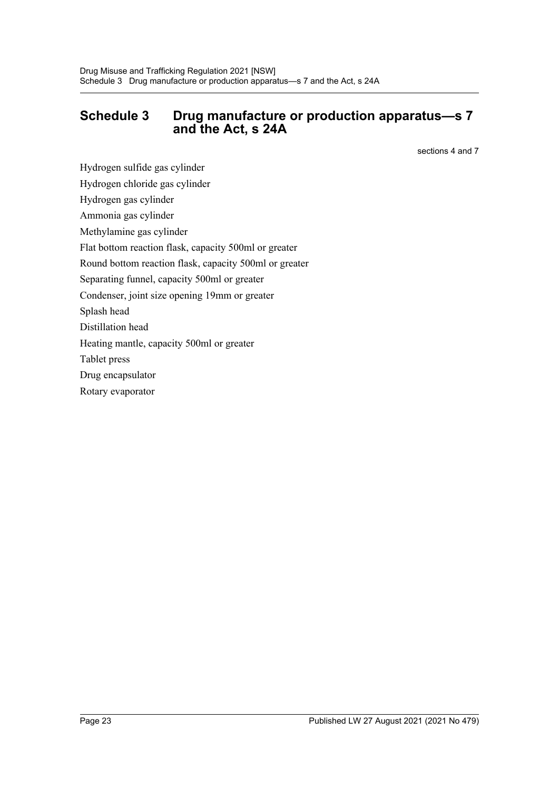### <span id="page-22-0"></span>**Schedule 3 Drug manufacture or production apparatus—s 7 and the Act, s 24A**

sections 4 and 7

Hydrogen sulfide gas cylinder

Hydrogen chloride gas cylinder

Hydrogen gas cylinder

Ammonia gas cylinder

Methylamine gas cylinder

Flat bottom reaction flask, capacity 500ml or greater

Round bottom reaction flask, capacity 500ml or greater

Separating funnel, capacity 500ml or greater

Condenser, joint size opening 19mm or greater

Splash head

Distillation head

Heating mantle, capacity 500ml or greater

Tablet press

Drug encapsulator

Rotary evaporator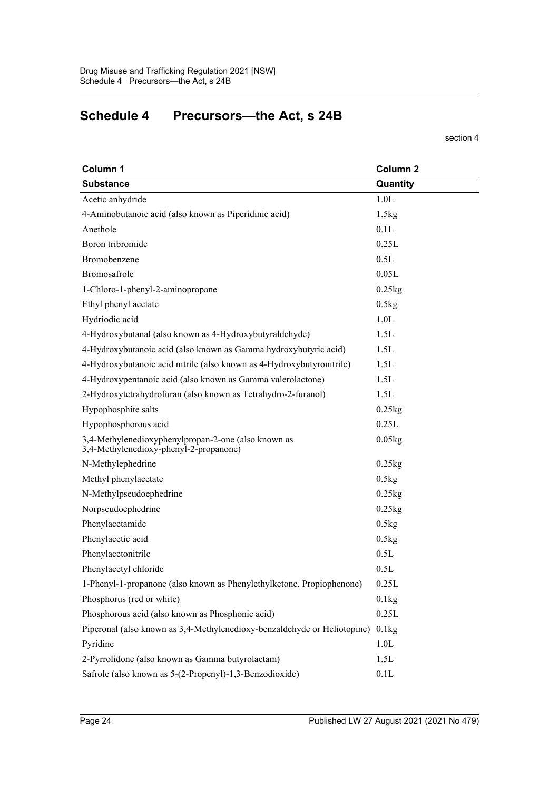# <span id="page-23-0"></span>**Schedule 4 Precursors—the Act, s 24B**

#### section 4

| Column 1                                                                                      | Column <sub>2</sub>  |
|-----------------------------------------------------------------------------------------------|----------------------|
| <b>Substance</b>                                                                              | Quantity             |
| Acetic anhydride                                                                              | 1.0L                 |
| 4-Aminobutanoic acid (also known as Piperidinic acid)                                         | 1.5kg                |
| Anethole                                                                                      | 0.1L                 |
| Boron tribromide                                                                              | 0.25L                |
| Bromobenzene                                                                                  | 0.5L                 |
| Bromosafrole                                                                                  | 0.05L                |
| 1-Chloro-1-phenyl-2-aminopropane                                                              | $0.25$ kg            |
| Ethyl phenyl acetate                                                                          | 0.5kg                |
| Hydriodic acid                                                                                | 1.0 <sub>L</sub>     |
| 4-Hydroxybutanal (also known as 4-Hydroxybutyraldehyde)                                       | 1.5L                 |
| 4-Hydroxybutanoic acid (also known as Gamma hydroxybutyric acid)                              | 1.5L                 |
| 4-Hydroxybutanoic acid nitrile (also known as 4-Hydroxybutyronitrile)                         | 1.5L                 |
| 4-Hydroxypentanoic acid (also known as Gamma valerolactone)                                   | 1.5L                 |
| 2-Hydroxytetrahydrofuran (also known as Tetrahydro-2-furanol)                                 | 1.5L                 |
| Hypophosphite salts                                                                           | $0.25$ kg            |
| Hypophosphorous acid                                                                          | 0.25L                |
| 3,4-Methylenedioxyphenylpropan-2-one (also known as<br>3,4-Methylenedioxy-phenyl-2-propanone) | $0.05$ <sub>kg</sub> |
| N-Methylephedrine                                                                             | $0.25$ kg            |
| Methyl phenylacetate                                                                          | 0.5kg                |
| N-Methylpseudoephedrine                                                                       | $0.25$ kg            |
| Norpseudoephedrine                                                                            | $0.25$ kg            |
| Phenylacetamide                                                                               | 0.5kg                |
| Phenylacetic acid                                                                             | 0.5kg                |
| Phenylacetonitrile                                                                            | 0.5L                 |
| Phenylacetyl chloride                                                                         | 0.5L                 |
| 1-Phenyl-1-propanone (also known as Phenylethylketone, Propiophenone)                         | 0.25L                |
| Phosphorus (red or white)                                                                     | 0.1kg                |
| Phosphorous acid (also known as Phosphonic acid)                                              | 0.25L                |
| Piperonal (also known as 3,4-Methylenedioxy-benzaldehyde or Heliotopine)                      | 0.1kg                |
| Pyridine                                                                                      | 1.0 <sub>L</sub>     |
| 2-Pyrrolidone (also known as Gamma butyrolactam)                                              | 1.5L                 |
| Safrole (also known as 5-(2-Propenyl)-1,3-Benzodioxide)                                       | 0.1L                 |